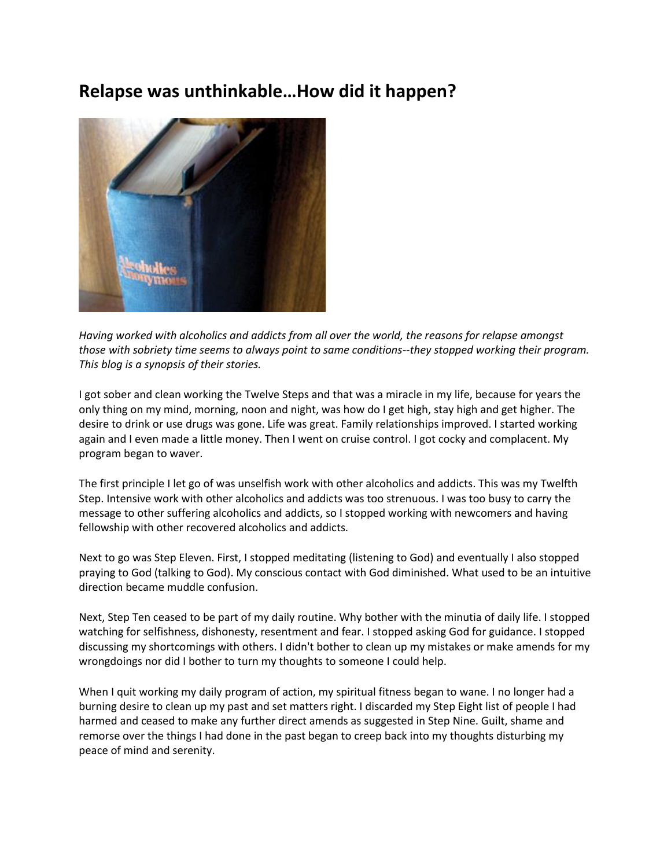## **Relapse was unthinkable…How did it happen?**



*Having worked with alcoholics and addicts from all over the world, the reasons for relapse amongst those with sobriety time seems to always point to same conditions--they stopped working their program. This blog is a synopsis of their stories.*

I got sober and clean working the Twelve Steps and that was a miracle in my life, because for years the only thing on my mind, morning, noon and night, was how do I get high, stay high and get higher. The desire to drink or use drugs was gone. Life was great. Family relationships improved. I started working again and I even made a little money. Then I went on cruise control. I got cocky and complacent. My program began to waver.

The first principle I let go of was unselfish work with other alcoholics and addicts. This was my Twelfth Step. Intensive work with other alcoholics and addicts was too strenuous. I was too busy to carry the message to other suffering alcoholics and addicts, so I stopped working with newcomers and having fellowship with other recovered alcoholics and addicts.

Next to go was Step Eleven. First, I stopped meditating (listening to God) and eventually I also stopped praying to God (talking to God). My conscious contact with God diminished. What used to be an intuitive direction became muddle confusion.

Next, Step Ten ceased to be part of my daily routine. Why bother with the minutia of daily life. I stopped watching for selfishness, dishonesty, resentment and fear. I stopped asking God for guidance. I stopped discussing my shortcomings with others. I didn't bother to clean up my mistakes or make amends for my wrongdoings nor did I bother to turn my thoughts to someone I could help.

When I quit working my daily program of action, my spiritual fitness began to wane. I no longer had a burning desire to clean up my past and set matters right. I discarded my Step Eight list of people I had harmed and ceased to make any further direct amends as suggested in Step Nine. Guilt, shame and remorse over the things I had done in the past began to creep back into my thoughts disturbing my peace of mind and serenity.